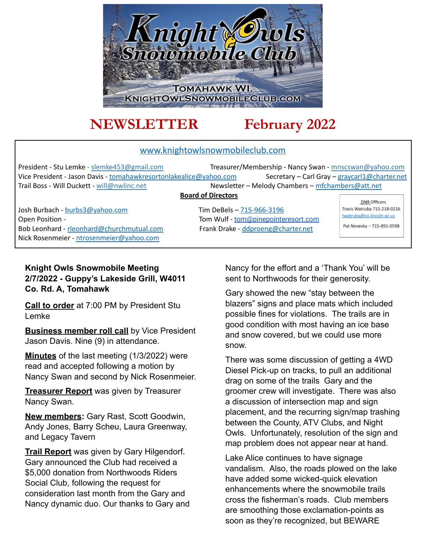

# **NEWSLETTER February 2022**

#### www.knightowlsnowmobileclub.com

President - Stu Lemke - slemke453@gmail.com Treasurer/Membership - Nancy Swan - mnscswan@yahoo.com Vice President - Jason Davis - tomahawkresortonlakealice@yahoo.com Secretary - Carl Gray - graycarl1@charter.net Trail Boss - Will Duckett - will@nwlinc.net Newsletter – Melody Chambers – mfchambers@att.net

#### **Board of Directors**

Josh Burbach - burbs3@yahoo.com Tim DeBels – 715-966-3196 Open Position - Tom Wulf - [tom@pinepointeresort.com](mailto:tom@pinepointeresort.com) Bob Leonhard - rleonhard@churchmutual.com Frank Drake - ddproeng@charter.net Nick Rosenmeier - ntrosenmeier@yahoo.com

DNR Officers Travis Watruba 715-218-0216 twatruba@co.lincoln.wi.us Pat Novesky - 715-891-0598

#### **Knight Owls Snowmobile Meeting 2/7/2022 - Guppy's Lakeside Grill, W4011 Co. Rd. A, Tomahawk**

**Call to order** at 7:00 PM by President Stu Lemke

**Business member roll call** by Vice President Jason Davis. Nine (9) in attendance.

**Minutes** of the last meeting (1/3/2022) were read and accepted following a motion by Nancy Swan and second by Nick Rosenmeier.

**Treasurer Report** was given by Treasurer Nancy Swan.

**New members:** Gary Rast, Scott Goodwin, Andy Jones, Barry Scheu, Laura Greenway, and Legacy Tavern

**Trail Report** was given by Gary Hilgendorf. Gary announced the Club had received a \$5,000 donation from Northwoods Riders Social Club, following the request for consideration last month from the Gary and Nancy dynamic duo. Our thanks to Gary and Nancy for the effort and a 'Thank You' will be sent to Northwoods for their generosity.

Gary showed the new "stay between the blazers" signs and place mats which included possible fines for violations. The trails are in good condition with most having an ice base and snow covered, but we could use more snow.

There was some discussion of getting a 4WD Diesel Pick-up on tracks, to pull an additional drag on some of the trails Gary and the groomer crew will investigate. There was also a discussion of intersection map and sign placement, and the recurring sign/map trashing between the County, ATV Clubs, and Night Owls. Unfortunately, resolution of the sign and map problem does not appear near at hand.

Lake Alice continues to have signage vandalism. Also, the roads plowed on the lake have added some wicked-quick elevation enhancements where the snowmobile trails cross the fisherman's roads. Club members are smoothing those exclamation-points as soon as they're recognized, but BEWARE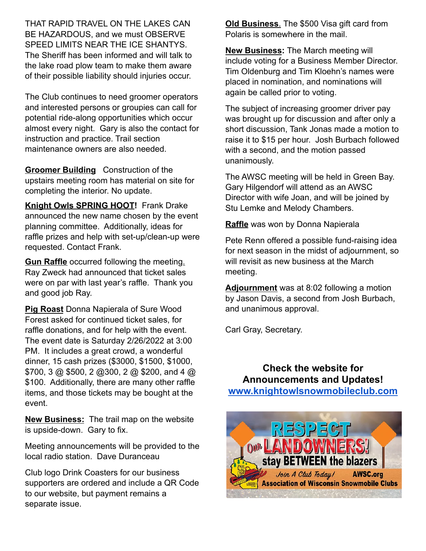THAT RAPID TRAVEL ON THE LAKES CAN BE HAZARDOUS, and we must OBSERVE SPEED LIMITS NEAR THE ICE SHANTYS. The Sheriff has been informed and will talk to the lake road plow team to make them aware of their possible liability should injuries occur.

The Club continues to need groomer operators and interested persons or groupies can call for potential ride-along opportunities which occur almost every night. Gary is also the contact for instruction and practice. Trail section maintenance owners are also needed.

**Groomer Building** Construction of the upstairs meeting room has material on site for completing the interior. No update.

**Knight Owls SPRING HOOT!** Frank Drake announced the new name chosen by the event planning committee. Additionally, ideas for raffle prizes and help with set-up/clean-up were requested. Contact Frank.

**Gun Raffle** occurred following the meeting. Ray Zweck had announced that ticket sales were on par with last year's raffle. Thank you and good job Ray.

**Pig Roast** Donna Napierala of Sure Wood Forest asked for continued ticket sales, for raffle donations, and for help with the event. The event date is Saturday 2/26/2022 at 3:00 PM. It includes a great crowd, a wonderful dinner, 15 cash prizes (\$3000, \$1500, \$1000, \$700, 3 @ \$500, 2 @300, 2 @ \$200, and 4 @ \$100. Additionally, there are many other raffle items, and those tickets may be bought at the event.

**New Business:** The trail map on the website is upside-down. Gary to fix.

Meeting announcements will be provided to the local radio station. Dave Duranceau

Club logo Drink Coasters for our business supporters are ordered and include a QR Code to our website, but payment remains a separate issue.

**Old Business**. The \$500 Visa gift card from Polaris is somewhere in the mail.

**New Business:** The March meeting will include voting for a Business Member Director. Tim Oldenburg and Tim Kloehn's names were placed in nomination, and nominations will again be called prior to voting.

The subject of increasing groomer driver pay was brought up for discussion and after only a short discussion, Tank Jonas made a motion to raise it to \$15 per hour. Josh Burbach followed with a second, and the motion passed unanimously.

The AWSC meeting will be held in Green Bay. Gary Hilgendorf will attend as an AWSC Director with wife Joan, and will be joined by Stu Lemke and Melody Chambers.

**Raffle** was won by Donna Napierala

Pete Renn offered a possible fund-raising idea for next season in the midst of adjournment, so will revisit as new business at the March meeting.

**Adjournment** was at 8:02 following a motion by Jason Davis, a second from Josh Burbach, and unanimous approval.

Carl Gray, Secretary.

**Check the website for Announcements and Updates! [www.knightowlsnowmobileclub.com](http://www.knightowlsnowmobileclub.com)**

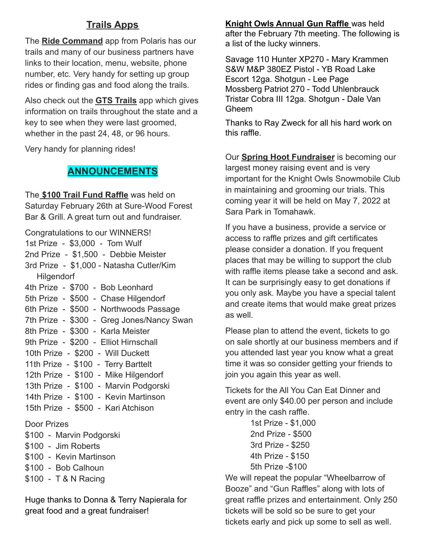# **Trails Apps**

The **Ride Command** app from Polaris has our trails and many of our business partners have links to their location, menu, website, phone number, etc. Very handy for setting up group rides or finding gas and food along the trails.

Also check out the **GTS Trails** app which gives information on trails throughout the state and a key to see when they were last groomed, whether in the past 24, 48, or 96 hours.

Very handy for planning rides!

# **ANNOUNCEMENTS**

The **\$100 Trail Fund Raffle** was held on Saturday February 26th at Sure-Wood Forest Bar & Grill. A great turn out and fundraiser.

| Congratulations to our WINNERS!                                                                                                                                                                                                                                                                                                 |
|---------------------------------------------------------------------------------------------------------------------------------------------------------------------------------------------------------------------------------------------------------------------------------------------------------------------------------|
| 1st Prize - \$3,000 - Tom Wulf                                                                                                                                                                                                                                                                                                  |
| 2nd Prize - \$1,500 - Debbie Meister                                                                                                                                                                                                                                                                                            |
| 3rd Prize - \$1,000 - Natasha Cutler/Kim                                                                                                                                                                                                                                                                                        |
| <b>Hilgendorf</b>                                                                                                                                                                                                                                                                                                               |
| 4th Prize - \$700 - Bob Leonhard                                                                                                                                                                                                                                                                                                |
| 5th Prize - \$500 - Chase Hilgendorf                                                                                                                                                                                                                                                                                            |
| 6th Prize - \$500 - Northwoods Passage                                                                                                                                                                                                                                                                                          |
| 7th Prize - \$300 - Greg Jones/Nancy Swan                                                                                                                                                                                                                                                                                       |
| 8th Prize - \$300 - Karla Meister                                                                                                                                                                                                                                                                                               |
| 9th Prize - \$200 - Elliot Hirnschall                                                                                                                                                                                                                                                                                           |
| 10th Prize - \$200 - Will Duckett                                                                                                                                                                                                                                                                                               |
| 11th Prize - \$100 - Terry Barttelt                                                                                                                                                                                                                                                                                             |
| 12th Prize - \$100 - Mike Hilgendorf                                                                                                                                                                                                                                                                                            |
| 13th Prize - \$100 - Marvin Podgorski                                                                                                                                                                                                                                                                                           |
| 14th Prize - \$100 - Kevin Martinson                                                                                                                                                                                                                                                                                            |
| 15th Prize - \$500 - Kari Atchison                                                                                                                                                                                                                                                                                              |
| <b>Door Prizes</b>                                                                                                                                                                                                                                                                                                              |
| \$100 - Marvin Podgorski                                                                                                                                                                                                                                                                                                        |
| $\mathbb{R}$ 400 $\mathbb{R}$ $\mathbb{R}$ $\mathbb{R}$ $\mathbb{R}$ $\mathbb{R}$ $\mathbb{R}$ $\mathbb{R}$ $\mathbb{R}$ $\mathbb{R}$ $\mathbb{R}$ $\mathbb{R}$ $\mathbb{R}$ $\mathbb{R}$ $\mathbb{R}$ $\mathbb{R}$ $\mathbb{R}$ $\mathbb{R}$ $\mathbb{R}$ $\mathbb{R}$ $\mathbb{R}$ $\mathbb{R}$ $\mathbb{R}$ $\mathbb{R}$ $\$ |

- \$100 Jim Roberts
- \$100 Kevin Martinson
- \$100 Bob Calhoun
- \$100 T & N Racing

Huge thanks to Donna & Terry Napierala for great food and a great fundraiser!

#### **Knight Owls Annual Gun Raffle** was held

after the February 7th meeting. The following is a list of the lucky winners.

Savage 110 Hunter XP270 - Mary Krammen S&W M&P 380EZ Pistol - YB Road Lake Escort 12ga. Shotgun - Lee Page Mossberg Patriot 270 - Todd Uhlenbrauck Tristar Cobra III 12ga. Shotgun - Dale Van Gheem

Thanks to Ray Zweck for all his hard work on this raffle.

Our **Spring Hoot Fundraiser** is becoming our largest money raising event and is very important for the Knight Owls Snowmobile Club in maintaining and grooming our trials. This coming year it will be held on May 7, 2022 at Sara Park in Tomahawk.

If you have a business, provide a service or access to raffle prizes and gift certificates please consider a donation. If you frequent places that may be willing to support the club with raffle items please take a second and ask. It can be surprisingly easy to get donations if you only ask. Maybe you have a special talent and create items that would make great prizes as well.

Please plan to attend the event, tickets to go on sale shortly at our business members and if you attended last year you know what a great time it was so consider getting your friends to join you again this year as well.

Tickets for the All You Can Eat Dinner and event are only \$40.00 per person and include entry in the cash raffle.

> 1st Prize - \$1,000 2nd Prize - \$500 3rd Prize - \$250 4th Prize - \$150 5th Prize -\$100

We will repeat the popular "Wheelbarrow of Booze" and "Gun Raffles" along with lots of great raffle prizes and entertainment. Only 250 tickets will be sold so be sure to get your tickets early and pick up some to sell as well.